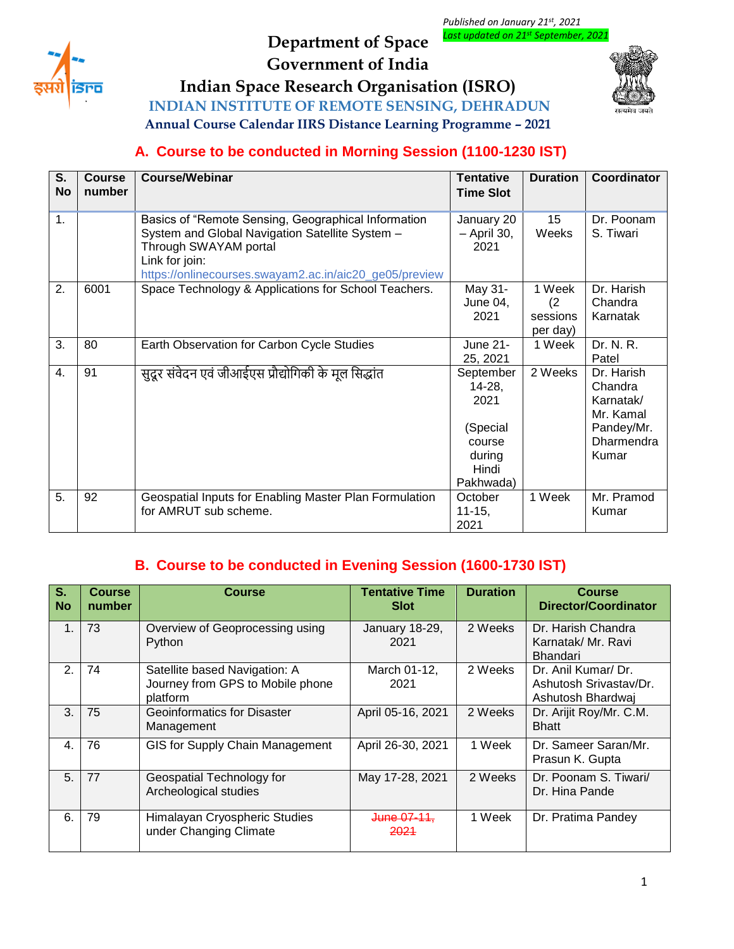

# **Department of Space Government of India**

*Published on January 21st, 2021 Last updated on 21 st September, 2021*

**Indian Space Research Organisation (ISRO)**





**Annual Course Calendar IIRS Distance Learning Programme – 2021**

## **A. Course to be conducted in Morning Session (1100-1230 IST)**

| $\overline{\mathsf{s}}$ .<br><b>No</b> | <b>Course</b><br>number | <b>Course/Webinar</b>                                                                                                                                                                                       | <b>Tentative</b><br><b>Time Slot</b>                                              | <b>Duration</b>                       | Coordinator                                                                          |
|----------------------------------------|-------------------------|-------------------------------------------------------------------------------------------------------------------------------------------------------------------------------------------------------------|-----------------------------------------------------------------------------------|---------------------------------------|--------------------------------------------------------------------------------------|
| 1.                                     |                         | Basics of "Remote Sensing, Geographical Information<br>System and Global Navigation Satellite System -<br>Through SWAYAM portal<br>Link for join:<br>https://onlinecourses.swayam2.ac.in/aic20_ge05/preview | January 20<br>- April 30,<br>2021                                                 | 15<br>Weeks                           | Dr. Poonam<br>S. Tiwari                                                              |
| 2.                                     | 6001                    | Space Technology & Applications for School Teachers.                                                                                                                                                        | May 31-<br>June 04,<br>2021                                                       | 1 Week<br>(2)<br>sessions<br>per day) | Dr. Harish<br>Chandra<br>Karnatak                                                    |
| 3.                                     | 80                      | Earth Observation for Carbon Cycle Studies                                                                                                                                                                  | June 21-<br>25, 2021                                                              | 1 Week                                | Dr. N. R.<br>Patel                                                                   |
| 4.                                     | 91                      | सुदूर संवेदन एवं जीआईएस प्रौद्योगिकी के मूल सिद्धांत                                                                                                                                                        | September<br>14-28,<br>2021<br>(Special<br>course<br>during<br>Hindi<br>Pakhwada) | 2 Weeks                               | Dr. Harish<br>Chandra<br>Karnatak/<br>Mr. Kamal<br>Pandey/Mr.<br>Dharmendra<br>Kumar |
| 5.                                     | 92                      | Geospatial Inputs for Enabling Master Plan Formulation<br>for AMRUT sub scheme.                                                                                                                             | October<br>$11 - 15,$<br>2021                                                     | 1 Week                                | Mr. Pramod<br>Kumar                                                                  |

### **B. Course to be conducted in Evening Session (1600-1730 IST)**

| S.<br><b>No</b> | <b>Course</b><br>number | <b>Course</b>                                                                 | <b>Tentative Time</b><br><b>Slot</b> | <b>Duration</b> | <b>Course</b><br>Director/Coordinator                              |
|-----------------|-------------------------|-------------------------------------------------------------------------------|--------------------------------------|-----------------|--------------------------------------------------------------------|
| 1.              | 73                      | Overview of Geoprocessing using<br>Python                                     | January 18-29,<br>2021               | 2 Weeks         | Dr. Harish Chandra<br>Karnatak/ Mr. Ravi<br><b>Bhandari</b>        |
| 2.              | 74                      | Satellite based Navigation: A<br>Journey from GPS to Mobile phone<br>platform | March 01-12,<br>2021                 | 2 Weeks         | Dr. Anil Kumar/ Dr.<br>Ashutosh Srivastav/Dr.<br>Ashutosh Bhardwai |
| 3.              | 75                      | <b>Geoinformatics for Disaster</b><br>Management                              | April 05-16, 2021                    | 2 Weeks         | Dr. Arijit Roy/Mr. C.M.<br><b>Bhatt</b>                            |
| 4.              | 76                      | GIS for Supply Chain Management                                               | April 26-30, 2021                    | 1 Week          | Dr. Sameer Saran/Mr.<br>Prasun K. Gupta                            |
| 5.              | 77                      | Geospatial Technology for<br>Archeological studies                            | May 17-28, 2021                      | 2 Weeks         | Dr. Poonam S. Tiwari/<br>Dr. Hina Pande                            |
| 6.              | 79                      | Himalayan Cryospheric Studies<br>under Changing Climate                       | <del>June 07-11.</del><br>2021       | 1 Week          | Dr. Pratima Pandey                                                 |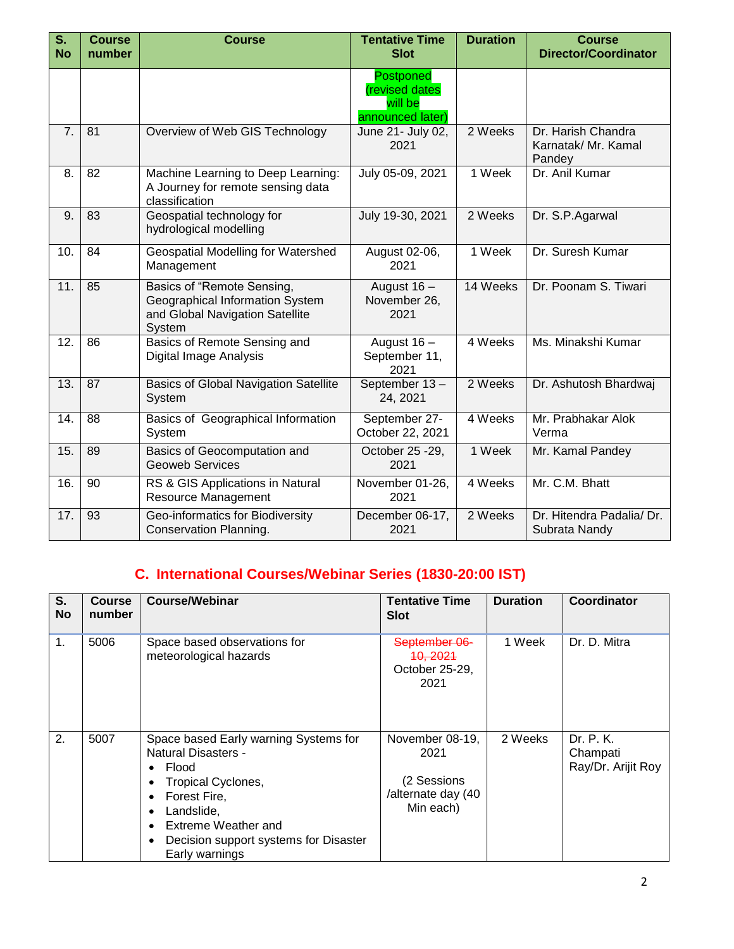| $\overline{\mathsf{s}}$ .<br><b>No</b> | <b>Course</b><br>number | <b>Course</b>                                                                                              | <b>Tentative Time</b><br><b>Slot</b>                              | <b>Duration</b>     | <b>Course</b><br><b>Director/Coordinator</b>        |
|----------------------------------------|-------------------------|------------------------------------------------------------------------------------------------------------|-------------------------------------------------------------------|---------------------|-----------------------------------------------------|
|                                        |                         |                                                                                                            | <b>Postponed</b><br>(revised dates<br>will be<br>announced later) |                     |                                                     |
| 7.                                     | 81                      | Overview of Web GIS Technology                                                                             | June 21- July 02,<br>2021                                         | 2 Weeks             | Dr. Harish Chandra<br>Karnatak/ Mr. Kamal<br>Pandey |
| 8.                                     | 82                      | Machine Learning to Deep Learning:<br>A Journey for remote sensing data<br>classification                  | July 05-09, 2021                                                  | $\overline{1}$ Week | Dr. Anil Kumar                                      |
| 9.                                     | 83                      | Geospatial technology for<br>hydrological modelling                                                        | July 19-30, 2021                                                  | 2 Weeks             | Dr. S.P.Agarwal                                     |
| 10.                                    | 84                      | Geospatial Modelling for Watershed<br>Management                                                           | August 02-06,<br>2021                                             | 1 Week              | Dr. Suresh Kumar                                    |
| 11.                                    | 85                      | Basics of "Remote Sensing,<br>Geographical Information System<br>and Global Navigation Satellite<br>System | August 16 -<br>November 26,<br>2021                               | 14 Weeks            | Dr. Poonam S. Tiwari                                |
| 12.                                    | 86                      | Basics of Remote Sensing and<br>Digital Image Analysis                                                     | August $16 -$<br>September 11,<br>2021                            | 4 Weeks             | Ms. Minakshi Kumar                                  |
| 13.                                    | 87                      | <b>Basics of Global Navigation Satellite</b><br>System                                                     | September 13-<br>24, 2021                                         | 2 Weeks             | Dr. Ashutosh Bhardwaj                               |
| 14.                                    | 88                      | Basics of Geographical Information<br>System                                                               | September 27-<br>October 22, 2021                                 | 4 Weeks             | Mr. Prabhakar Alok<br>Verma                         |
| 15.                                    | 89                      | Basics of Geocomputation and<br><b>Geoweb Services</b>                                                     | October 25 - 29,<br>2021                                          | 1 Week              | Mr. Kamal Pandey                                    |
| 16.                                    | 90                      | RS & GIS Applications in Natural<br>Resource Management                                                    | November 01-26,<br>2021                                           | 4 Weeks             | Mr. C.M. Bhatt                                      |
| 17.                                    | 93                      | Geo-informatics for Biodiversity<br>Conservation Planning.                                                 | December 06-17,<br>2021                                           | 2 Weeks             | Dr. Hitendra Padalia/ Dr.<br>Subrata Nandy          |

# **C. International Courses/Webinar Series (1830-20:00 IST)**

| S.<br><b>No</b> | <b>Course</b><br>number | <b>Course/Webinar</b>                                                                                                                                                                                                                                             | <b>Tentative Time</b><br><b>Slot</b>                                      | <b>Duration</b> | Coordinator                                 |
|-----------------|-------------------------|-------------------------------------------------------------------------------------------------------------------------------------------------------------------------------------------------------------------------------------------------------------------|---------------------------------------------------------------------------|-----------------|---------------------------------------------|
| 1.              | 5006                    | Space based observations for<br>meteorological hazards                                                                                                                                                                                                            | September 06-<br>10, 2021<br>October 25-29,<br>2021                       | 1 Week          | Dr. D. Mitra                                |
| 2.              | 5007                    | Space based Early warning Systems for<br>Natural Disasters -<br>Flood<br>٠<br>Tropical Cyclones,<br>٠<br>Forest Fire,<br>٠<br>Landslide,<br>$\bullet$<br>Extreme Weather and<br>$\bullet$<br>Decision support systems for Disaster<br>$\bullet$<br>Early warnings | November 08-19,<br>2021<br>(2 Sessions<br>/alternate day (40<br>Min each) | 2 Weeks         | Dr. P. K.<br>Champati<br>Ray/Dr. Arijit Roy |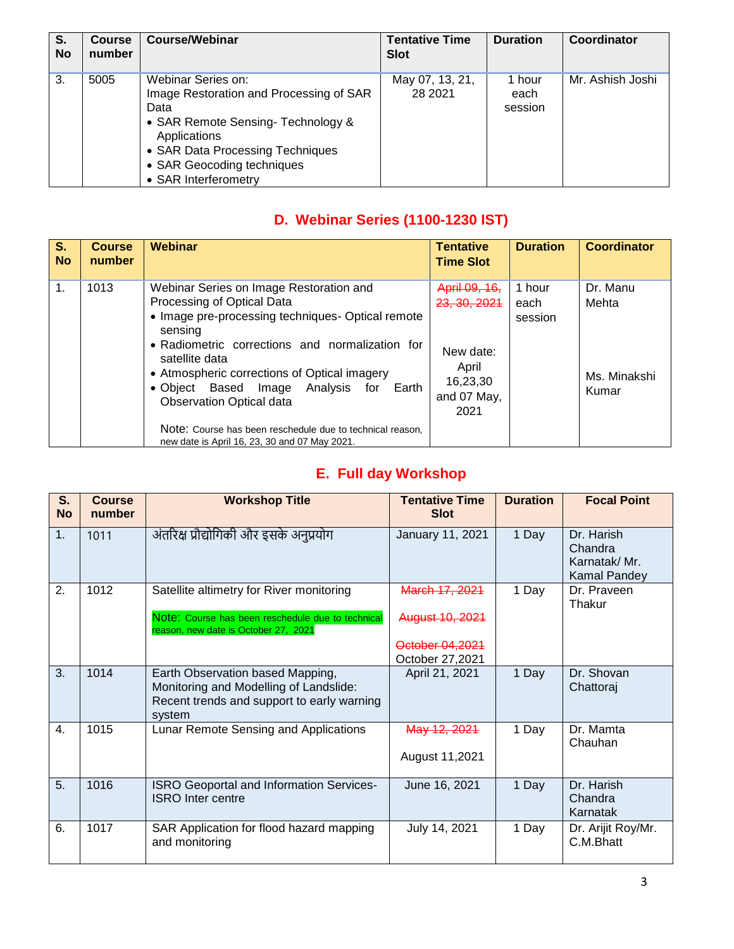| S.<br><b>No</b> | <b>Course</b><br>number | Course/Webinar                                                                                                                                                                                                        | <b>Tentative Time</b><br><b>Slot</b> | <b>Duration</b>           | Coordinator      |
|-----------------|-------------------------|-----------------------------------------------------------------------------------------------------------------------------------------------------------------------------------------------------------------------|--------------------------------------|---------------------------|------------------|
| 3.              | 5005                    | Webinar Series on:<br>Image Restoration and Processing of SAR<br>Data<br>• SAR Remote Sensing- Technology &<br>Applications<br>• SAR Data Processing Techniques<br>• SAR Geocoding techniques<br>• SAR Interferometry | May 07, 13, 21,<br>28 2021           | 1 hour<br>each<br>session | Mr. Ashish Joshi |

## **D. Webinar Series (1100-1230 IST)**

| S <sub>r</sub><br><b>No</b> | <b>Course</b><br>number | Webinar                                                                                                                                                                                                                                                                                                                                                                                                                                                   | <b>Tentative</b><br><b>Time Slot</b>                                                              | <b>Duration</b>           | <b>Coordinator</b>                         |
|-----------------------------|-------------------------|-----------------------------------------------------------------------------------------------------------------------------------------------------------------------------------------------------------------------------------------------------------------------------------------------------------------------------------------------------------------------------------------------------------------------------------------------------------|---------------------------------------------------------------------------------------------------|---------------------------|--------------------------------------------|
| 1.                          | 1013                    | Webinar Series on Image Restoration and<br>Processing of Optical Data<br>• Image pre-processing techniques- Optical remote<br>sensing<br>• Radiometric corrections and normalization for<br>satellite data<br>• Atmospheric corrections of Optical imagery<br>• Object Based Image Analysis for<br>Earth<br><b>Observation Optical data</b><br>Note: Course has been reschedule due to technical reason.<br>new date is April 16, 23, 30 and 07 May 2021. | April 09, 16,<br><del>23, 30, 2021</del><br>New date:<br>April<br>16,23,30<br>and 07 May,<br>2021 | 1 hour<br>each<br>session | Dr. Manu<br>Mehta<br>Ms. Minakshi<br>Kumar |

# **E. Full day Workshop**

| S.<br><b>No</b> | <b>Course</b><br>number | <b>Workshop Title</b>                                                                                                              | <b>Tentative Time</b><br><b>Slot</b> | <b>Duration</b> | <b>Focal Point</b>                                    |
|-----------------|-------------------------|------------------------------------------------------------------------------------------------------------------------------------|--------------------------------------|-----------------|-------------------------------------------------------|
| 1.              | 1011                    | अंतरिक्ष प्रौद्योगिकी और इसके अनुप्रयोग                                                                                            | January 11, 2021                     | 1 Day           | Dr. Harish<br>Chandra<br>Karnatak/Mr.<br>Kamal Pandey |
| 2.              | 1012                    | Satellite altimetry for River monitoring                                                                                           | March 17, 2021                       | 1 Day           | Dr. Praveen<br>Thakur                                 |
|                 |                         | Note: Course has been reschedule due to technical<br>reason, new date is October 27, 2021                                          | August 10, 2021                      |                 |                                                       |
|                 |                         |                                                                                                                                    | October 04,2021                      |                 |                                                       |
|                 |                         |                                                                                                                                    | October 27,2021                      |                 |                                                       |
| 3.              | 1014                    | Earth Observation based Mapping,<br>Monitoring and Modelling of Landslide:<br>Recent trends and support to early warning<br>system | April 21, 2021                       | 1 Day           | Dr. Shovan<br>Chattoraj                               |
| $\mathbf{4}$ .  | 1015                    | Lunar Remote Sensing and Applications                                                                                              | May 12, 2021                         | 1 Day           | Dr. Mamta<br>Chauhan                                  |
|                 |                         |                                                                                                                                    | August 11,2021                       |                 |                                                       |
| 5.              | 1016                    | ISRO Geoportal and Information Services-<br><b>ISRO</b> Inter centre                                                               | June 16, 2021                        | 1 Day           | Dr. Harish<br>Chandra<br>Karnatak                     |
| 6.              | 1017                    | SAR Application for flood hazard mapping<br>and monitoring                                                                         | July 14, 2021                        | 1 Day           | Dr. Arijit Roy/Mr.<br>C.M.Bhatt                       |